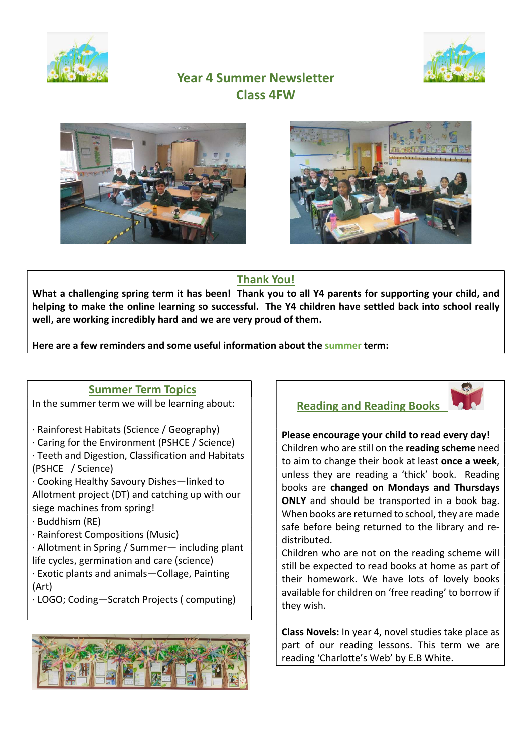



# Year 4 Summer Newsletter Class 4FW





### Thank You!

What a challenging spring term it has been! Thank you to all Y4 parents for supporting your child, and helping to make the online learning so successful. The Y4 children have settled back into school really well, are working incredibly hard and we are very proud of them.

Here are a few reminders and some useful information about the summer term:

### Summer Term Topics

In the summer term we will be learning about:

- · Rainforest Habitats (Science / Geography)
- · Caring for the Environment (PSHCE / Science)

· Teeth and Digestion, Classification and Habitats (PSHCE / Science)

· Cooking Healthy Savoury Dishes—linked to Allotment project (DT) and catching up with our siege machines from spring!

· Buddhism (RE)

· Rainforest Compositions (Music)

· Allotment in Spring / Summer— including plant life cycles, germination and care (science)

· Exotic plants and animals—Collage, Painting (Art)

· LOGO; Coding—Scratch Projects ( computing)





Please encourage your child to read every day! Children who are still on the reading scheme need to aim to change their book at least **once a week**, unless they are reading a 'thick' book. Reading books are changed on Mondays and Thursdays ONLY and should be transported in a book bag. When books are returned to school, they are made safe before being returned to the library and redistributed.

Children who are not on the reading scheme will still be expected to read books at home as part of their homework. We have lots of lovely books available for children on 'free reading' to borrow if they wish.

Class Novels: In year 4, novel studies take place as part of our reading lessons. This term we are reading 'Charlotte's Web' by E.B White.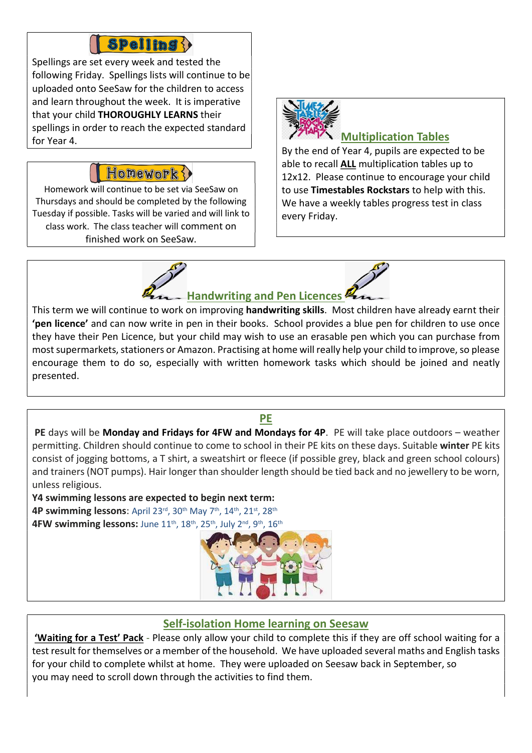# **Spelling ()**

Spellings are set every week and tested the following Friday. Spellings lists will continue to be uploaded onto SeeSaw for the children to access and learn throughout the week. It is imperative that your child THOROUGHLY LEARNS their spellings in order to reach the expected standard for Year 4.

### Honework

Homework will continue to be set via SeeSaw on Thursdays and should be completed by the following Tuesday if possible. Tasks will be varied and will link to class work. The class teacher will comment on finished work on SeeSaw.



# Multiplication Tables

By the end of Year 4, pupils are expected to be able to recall ALL multiplication tables up to 12x12. Please continue to encourage your child to use Timestables Rockstars to help with this. We have a weekly tables progress test in class every Friday.



This term we will continue to work on improving **handwriting skills**. Most children have already earnt their 'pen licence' and can now write in pen in their books. School provides a blue pen for children to use once they have their Pen Licence, but your child may wish to use an erasable pen which you can purchase from most supermarkets, stationers or Amazon. Practising at home will really help your child to improve, so please encourage them to do so, especially with written homework tasks which should be joined and neatly presented.

PE days will be Monday and Fridays for 4FW and Mondays for 4P. PE will take place outdoors – weather permitting. Children should continue to come to school in their PE kits on these days. Suitable winter PE kits consist of jogging bottoms, a T shirt, a sweatshirt or fleece (if possible grey, black and green school colours) and trainers (NOT pumps). Hair longer than shoulder length should be tied back and no jewellery to be worn, unless religious.

PE

Y4 swimming lessons are expected to begin next term: 4P swimming lessons: April 23rd, 30th May 7th, 14th, 21st, 28th 4FW swimming lessons: June 11<sup>th</sup>, 18<sup>th</sup>, 25<sup>th</sup>, July 2<sup>nd</sup>, 9<sup>th</sup>, 16<sup>th</sup>



### Self-isolation Home learning on Seesaw

'Waiting for a Test' Pack - Please only allow your child to complete this if they are off school waiting for a test result for themselves or a member of the household. We have uploaded several maths and English tasks for your child to complete whilst at home. They were uploaded on Seesaw back in September, so you may need to scroll down through the activities to find them.